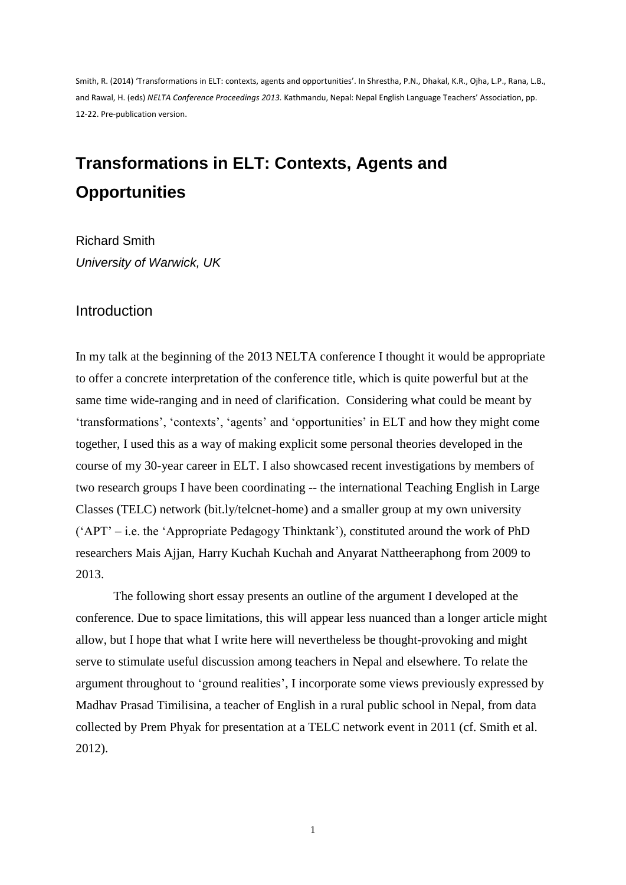Smith, R. (2014) 'Transformations in ELT: contexts, agents and opportunities'. In Shrestha, P.N., Dhakal, K.R., Ojha, L.P., Rana, L.B., and Rawal, H. (eds) *NELTA Conference Proceedings 2013.* Kathmandu, Nepal: Nepal English Language Teachers' Association, pp. 12-22. Pre-publication version.

# **Transformations in ELT: Contexts, Agents and Opportunities**

Richard Smith *University of Warwick, UK*

### **Introduction**

In my talk at the beginning of the 2013 NELTA conference I thought it would be appropriate to offer a concrete interpretation of the conference title, which is quite powerful but at the same time wide-ranging and in need of clarification. Considering what could be meant by 'transformations', 'contexts', 'agents' and 'opportunities' in ELT and how they might come together, I used this as a way of making explicit some personal theories developed in the course of my 30-year career in ELT. I also showcased recent investigations by members of two research groups I have been coordinating -- the international Teaching English in Large Classes (TELC) network (bit.ly/telcnet-home) and a smaller group at my own university ('APT' – i.e. the 'Appropriate Pedagogy Thinktank'), constituted around the work of PhD researchers Mais Ajjan, Harry Kuchah Kuchah and Anyarat Nattheeraphong from 2009 to 2013.

The following short essay presents an outline of the argument I developed at the conference. Due to space limitations, this will appear less nuanced than a longer article might allow, but I hope that what I write here will nevertheless be thought-provoking and might serve to stimulate useful discussion among teachers in Nepal and elsewhere. To relate the argument throughout to 'ground realities', I incorporate some views previously expressed by Madhav Prasad Timilisina, a teacher of English in a rural public school in Nepal, from data collected by Prem Phyak for presentation at a TELC network event in 2011 (cf. Smith et al. 2012).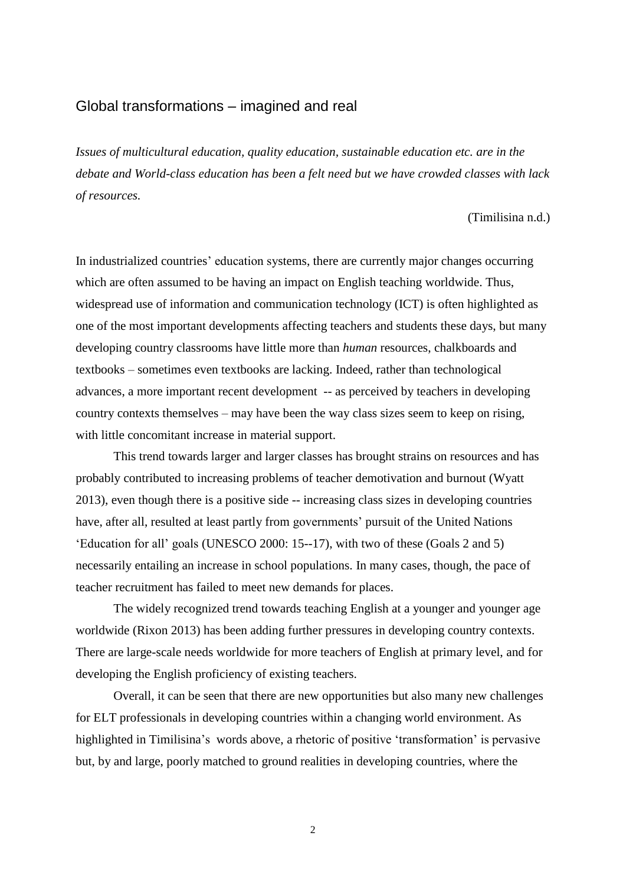### Global transformations – imagined and real

*Issues of multicultural education, quality education, sustainable education etc. are in the debate and World-class education has been a felt need but we have crowded classes with lack of resources.* 

(Timilisina n.d.)

In industrialized countries' education systems, there are currently major changes occurring which are often assumed to be having an impact on English teaching worldwide. Thus, widespread use of information and communication technology (ICT) is often highlighted as one of the most important developments affecting teachers and students these days, but many developing country classrooms have little more than *human* resources, chalkboards and textbooks – sometimes even textbooks are lacking. Indeed, rather than technological advances, a more important recent development -- as perceived by teachers in developing country contexts themselves – may have been the way class sizes seem to keep on rising, with little concomitant increase in material support.

This trend towards larger and larger classes has brought strains on resources and has probably contributed to increasing problems of teacher demotivation and burnout (Wyatt 2013), even though there is a positive side -- increasing class sizes in developing countries have, after all, resulted at least partly from governments' pursuit of the United Nations 'Education for all' goals (UNESCO 2000: 15--17), with two of these (Goals 2 and 5) necessarily entailing an increase in school populations. In many cases, though, the pace of teacher recruitment has failed to meet new demands for places.

The widely recognized trend towards teaching English at a younger and younger age worldwide (Rixon 2013) has been adding further pressures in developing country contexts. There are large-scale needs worldwide for more teachers of English at primary level, and for developing the English proficiency of existing teachers.

Overall, it can be seen that there are new opportunities but also many new challenges for ELT professionals in developing countries within a changing world environment. As highlighted in Timilisina's words above, a rhetoric of positive 'transformation' is pervasive but, by and large, poorly matched to ground realities in developing countries, where the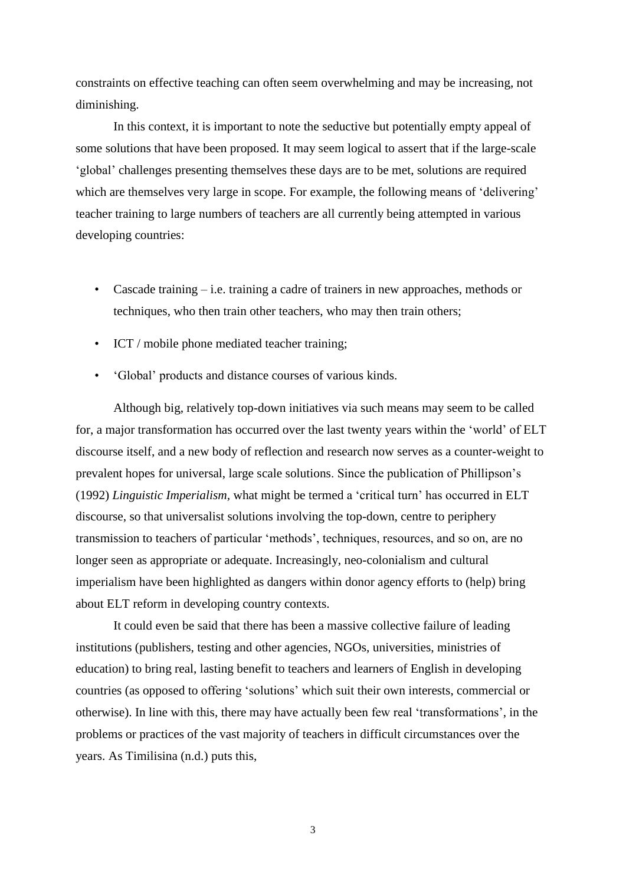constraints on effective teaching can often seem overwhelming and may be increasing, not diminishing.

In this context, it is important to note the seductive but potentially empty appeal of some solutions that have been proposed. It may seem logical to assert that if the large-scale 'global' challenges presenting themselves these days are to be met, solutions are required which are themselves very large in scope. For example, the following means of 'delivering' teacher training to large numbers of teachers are all currently being attempted in various developing countries:

- Cascade training i.e. training a cadre of trainers in new approaches, methods or techniques, who then train other teachers, who may then train others;
- ICT / mobile phone mediated teacher training;
- 'Global' products and distance courses of various kinds.

Although big, relatively top-down initiatives via such means may seem to be called for, a major transformation has occurred over the last twenty years within the 'world' of ELT discourse itself, and a new body of reflection and research now serves as a counter-weight to prevalent hopes for universal, large scale solutions. Since the publication of Phillipson's (1992) *Linguistic Imperialism,* what might be termed a 'critical turn' has occurred in ELT discourse, so that universalist solutions involving the top-down, centre to periphery transmission to teachers of particular 'methods', techniques, resources, and so on, are no longer seen as appropriate or adequate. Increasingly, neo-colonialism and cultural imperialism have been highlighted as dangers within donor agency efforts to (help) bring about ELT reform in developing country contexts.

It could even be said that there has been a massive collective failure of leading institutions (publishers, testing and other agencies, NGOs, universities, ministries of education) to bring real, lasting benefit to teachers and learners of English in developing countries (as opposed to offering 'solutions' which suit their own interests, commercial or otherwise). In line with this, there may have actually been few real 'transformations', in the problems or practices of the vast majority of teachers in difficult circumstances over the years. As Timilisina (n.d.) puts this,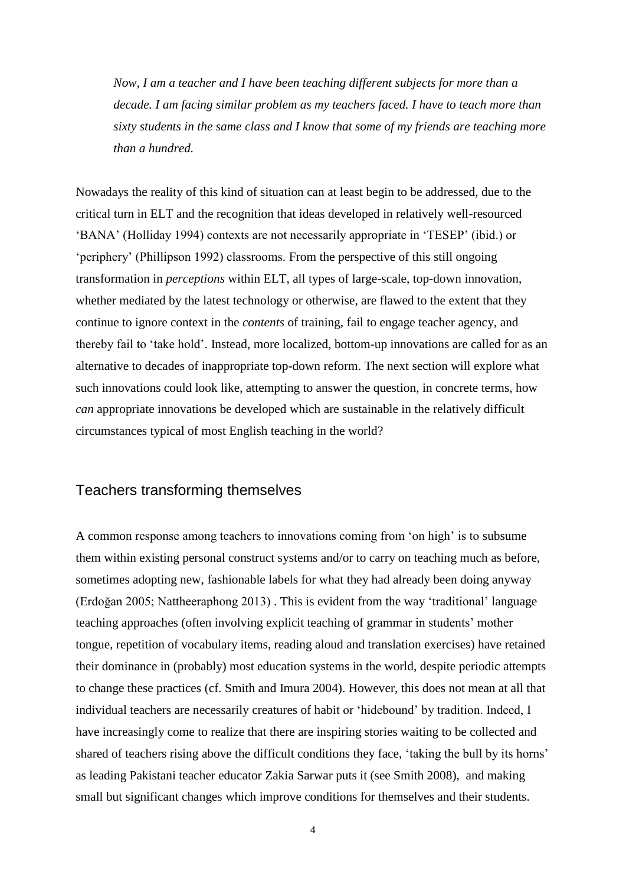*Now, I am a teacher and I have been teaching different subjects for more than a decade. I am facing similar problem as my teachers faced. I have to teach more than sixty students in the same class and I know that some of my friends are teaching more than a hundred.* 

Nowadays the reality of this kind of situation can at least begin to be addressed, due to the critical turn in ELT and the recognition that ideas developed in relatively well-resourced 'BANA' (Holliday 1994) contexts are not necessarily appropriate in 'TESEP' (ibid.) or 'periphery' (Phillipson 1992) classrooms. From the perspective of this still ongoing transformation in *perceptions* within ELT, all types of large-scale, top-down innovation, whether mediated by the latest technology or otherwise, are flawed to the extent that they continue to ignore context in the *contents* of training, fail to engage teacher agency, and thereby fail to 'take hold'. Instead, more localized, bottom-up innovations are called for as an alternative to decades of inappropriate top-down reform. The next section will explore what such innovations could look like, attempting to answer the question, in concrete terms, how *can* appropriate innovations be developed which are sustainable in the relatively difficult circumstances typical of most English teaching in the world?

# Teachers transforming themselves

A common response among teachers to innovations coming from 'on high' is to subsume them within existing personal construct systems and/or to carry on teaching much as before, sometimes adopting new, fashionable labels for what they had already been doing anyway (Erdoğan 2005; Nattheeraphong 2013) . This is evident from the way 'traditional' language teaching approaches (often involving explicit teaching of grammar in students' mother tongue, repetition of vocabulary items, reading aloud and translation exercises) have retained their dominance in (probably) most education systems in the world, despite periodic attempts to change these practices (cf. Smith and Imura 2004). However, this does not mean at all that individual teachers are necessarily creatures of habit or 'hidebound' by tradition. Indeed, I have increasingly come to realize that there are inspiring stories waiting to be collected and shared of teachers rising above the difficult conditions they face, 'taking the bull by its horns' as leading Pakistani teacher educator Zakia Sarwar puts it (see Smith 2008), and making small but significant changes which improve conditions for themselves and their students.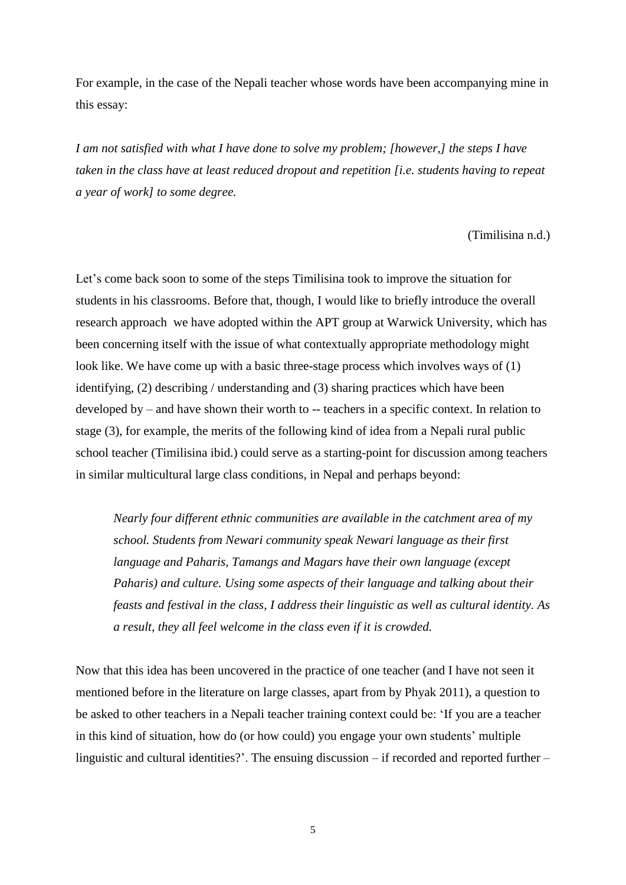For example, in the case of the Nepali teacher whose words have been accompanying mine in this essay:

*I am not satisfied with what I have done to solve my problem; [however,] the steps I have taken in the class have at least reduced dropout and repetition [i.e. students having to repeat a year of work] to some degree.*

#### (Timilisina n.d.)

Let's come back soon to some of the steps Timilisina took to improve the situation for students in his classrooms. Before that, though, I would like to briefly introduce the overall research approach we have adopted within the APT group at Warwick University, which has been concerning itself with the issue of what contextually appropriate methodology might look like. We have come up with a basic three-stage process which involves ways of (1) identifying, (2) describing / understanding and (3) sharing practices which have been developed by – and have shown their worth to -- teachers in a specific context. In relation to stage (3), for example, the merits of the following kind of idea from a Nepali rural public school teacher (Timilisina ibid.) could serve as a starting-point for discussion among teachers in similar multicultural large class conditions, in Nepal and perhaps beyond:

*Nearly four different ethnic communities are available in the catchment area of my school. Students from Newari community speak Newari language as their first language and Paharis, Tamangs and Magars have their own language (except Paharis) and culture. Using some aspects of their language and talking about their feasts and festival in the class, I address their linguistic as well as cultural identity. As a result, they all feel welcome in the class even if it is crowded.*

Now that this idea has been uncovered in the practice of one teacher (and I have not seen it mentioned before in the literature on large classes, apart from by Phyak 2011), a question to be asked to other teachers in a Nepali teacher training context could be: 'If you are a teacher in this kind of situation, how do (or how could) you engage your own students' multiple linguistic and cultural identities?'. The ensuing discussion – if recorded and reported further –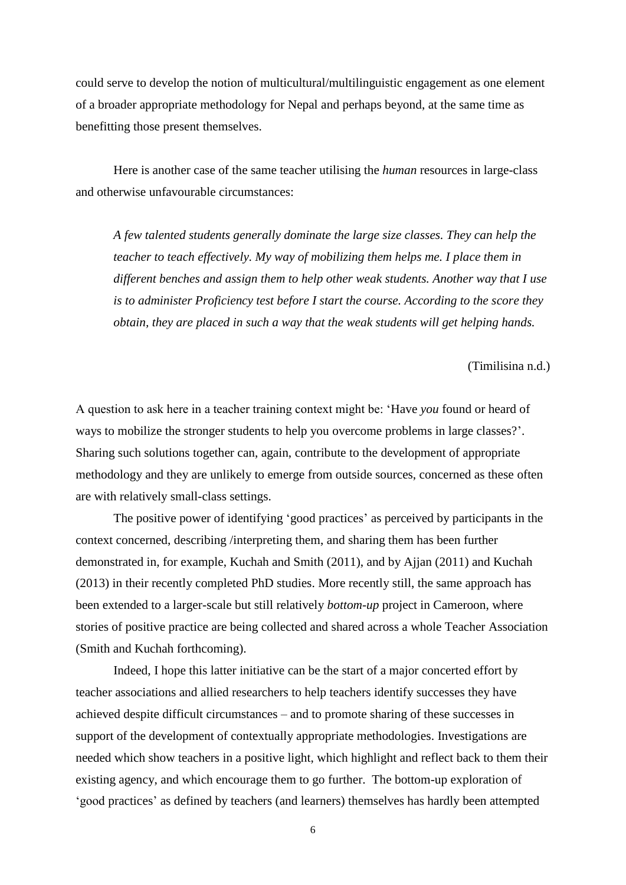could serve to develop the notion of multicultural/multilinguistic engagement as one element of a broader appropriate methodology for Nepal and perhaps beyond, at the same time as benefitting those present themselves.

Here is another case of the same teacher utilising the *human* resources in large-class and otherwise unfavourable circumstances:

*A few talented students generally dominate the large size classes. They can help the teacher to teach effectively. My way of mobilizing them helps me. I place them in different benches and assign them to help other weak students. Another way that I use is to administer Proficiency test before I start the course. According to the score they obtain, they are placed in such a way that the weak students will get helping hands.*

(Timilisina n.d.)

A question to ask here in a teacher training context might be: 'Have *you* found or heard of ways to mobilize the stronger students to help you overcome problems in large classes?'. Sharing such solutions together can, again, contribute to the development of appropriate methodology and they are unlikely to emerge from outside sources, concerned as these often are with relatively small-class settings.

The positive power of identifying 'good practices' as perceived by participants in the context concerned, describing /interpreting them, and sharing them has been further demonstrated in, for example, Kuchah and Smith (2011), and by Ajjan (2011) and Kuchah (2013) in their recently completed PhD studies. More recently still, the same approach has been extended to a larger-scale but still relatively *bottom-up* project in Cameroon, where stories of positive practice are being collected and shared across a whole Teacher Association (Smith and Kuchah forthcoming).

Indeed, I hope this latter initiative can be the start of a major concerted effort by teacher associations and allied researchers to help teachers identify successes they have achieved despite difficult circumstances – and to promote sharing of these successes in support of the development of contextually appropriate methodologies. Investigations are needed which show teachers in a positive light, which highlight and reflect back to them their existing agency, and which encourage them to go further. The bottom-up exploration of 'good practices' as defined by teachers (and learners) themselves has hardly been attempted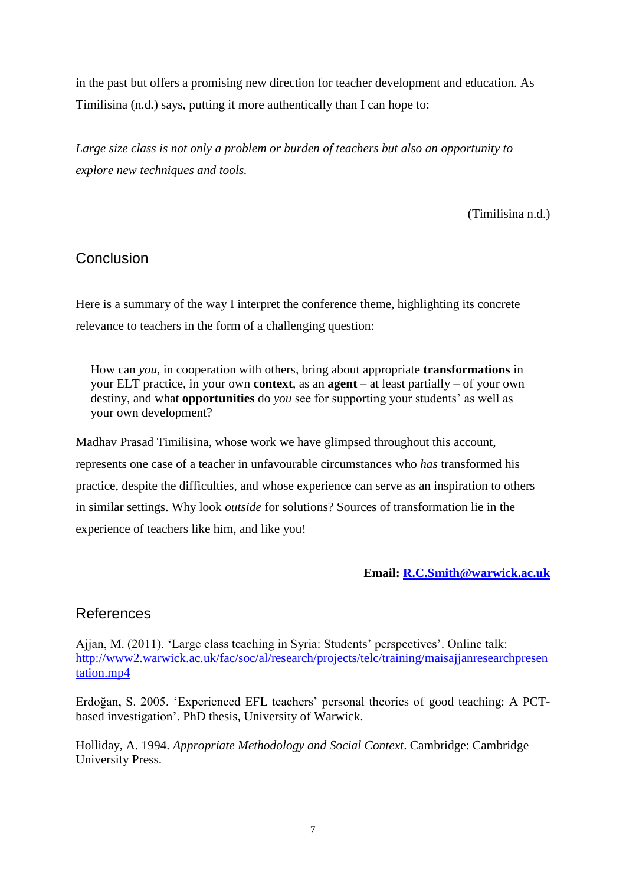in the past but offers a promising new direction for teacher development and education. As Timilisina (n.d.) says, putting it more authentically than I can hope to:

*Large size class is not only a problem or burden of teachers but also an opportunity to explore new techniques and tools.*

(Timilisina n.d.)

# **Conclusion**

Here is a summary of the way I interpret the conference theme, highlighting its concrete relevance to teachers in the form of a challenging question:

How can *you,* in cooperation with others*,* bring about appropriate **transformations** in your ELT practice, in your own **context**, as an **agent** – at least partially – of your own destiny, and what **opportunities** do *you* see for supporting your students' as well as your own development?

Madhav Prasad Timilisina, whose work we have glimpsed throughout this account, represents one case of a teacher in unfavourable circumstances who *has* transformed his practice, despite the difficulties, and whose experience can serve as an inspiration to others in similar settings. Why look *outside* for solutions? Sources of transformation lie in the experience of teachers like him, and like you!

### **Email: [R.C.Smith@warwick.ac.uk](mailto:R.C.Smith@warwick.ac.uk)**

# References

Ajjan, M. (2011). 'Large class teaching in Syria: Students' perspectives'. Online talk: [http://www2.warwick.ac.uk/fac/soc/al/research/projects/telc/training/maisajjanresearchpresen](http://www2.warwick.ac.uk/fac/soc/al/research/projects/telc/training/maisajjanresearchpresentation.mp4) [tation.mp4](http://www2.warwick.ac.uk/fac/soc/al/research/projects/telc/training/maisajjanresearchpresentation.mp4)

Erdoğan, S. 2005. 'Experienced EFL teachers' personal theories of good teaching: A PCTbased investigation'. PhD thesis, University of Warwick.

Holliday, A. 1994. *Appropriate Methodology and Social Context*. Cambridge: Cambridge University Press.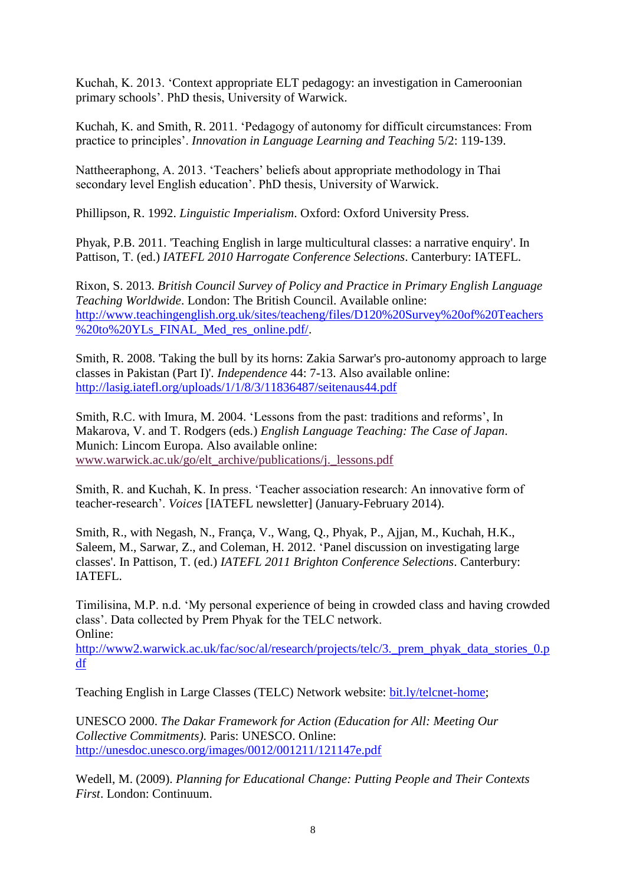Kuchah, K. 2013. 'Context appropriate ELT pedagogy: an investigation in Cameroonian primary schools'. PhD thesis, University of Warwick.

Kuchah, K. and Smith, R. 2011. 'Pedagogy of autonomy for difficult circumstances: From practice to principles'. *Innovation in Language Learning and Teaching* 5/2: 119-139.

Nattheeraphong, A. 2013. 'Teachers' beliefs about appropriate methodology in Thai secondary level English education'. PhD thesis, University of Warwick.

Phillipson, R. 1992. *Linguistic Imperialism*. Oxford: Oxford University Press.

Phyak, P.B. 2011. 'Teaching English in large multicultural classes: a narrative enquiry'. In Pattison, T. (ed.) *IATEFL 2010 Harrogate Conference Selections*. Canterbury: IATEFL.

Rixon, S. 2013. *British Council Survey of Policy and Practice in Primary English Language Teaching Worldwide*. London: The British Council. Available online: [http://www.teachingenglish.org.uk/sites/teacheng/files/D120%20Survey%20of%20Teachers](http://www.teachingenglish.org.uk/sites/teacheng/files/D120%20Survey%20of%20Teachers%20to%20YLs_FINAL_Med_res_online.pdf/) [%20to%20YLs\\_FINAL\\_Med\\_res\\_online.pdf/.](http://www.teachingenglish.org.uk/sites/teacheng/files/D120%20Survey%20of%20Teachers%20to%20YLs_FINAL_Med_res_online.pdf/)

Smith, R. 2008. 'Taking the bull by its horns: Zakia Sarwar's pro-autonomy approach to large classes in Pakistan (Part I)'. *Independence* 44: 7-13. Also available online: <http://lasig.iatefl.org/uploads/1/1/8/3/11836487/seitenaus44.pdf>

Smith, R.C. with Imura, M. 2004. 'Lessons from the past: traditions and reforms', In Makarova, V. and T. Rodgers (eds.) *English Language Teaching: The Case of Japan*. Munich: Lincom Europa. Also available online: [www.warwick.ac.uk/go/elt\\_archive/publications/j.\\_lessons.pdf](http://www2.warwick.ac.uk/fac/soc/al/research/collect/elt_archive/publications/j._lessons.pdf)

Smith, R. and Kuchah, K. In press. 'Teacher association research: An innovative form of teacher-research'. *Voices* [IATEFL newsletter] (January-February 2014).

Smith, R., with Negash, N., França, V., Wang, Q., Phyak, P., Ajjan, M., Kuchah, H.K., Saleem, M., Sarwar, Z., and Coleman, H. 2012. 'Panel discussion on investigating large classes'. In Pattison, T. (ed.) *IATEFL 2011 Brighton Conference Selections*. Canterbury: IATEFL.

Timilisina, M.P. n.d. 'My personal experience of being in crowded class and having crowded class'. Data collected by Prem Phyak for the TELC network. Online:

[http://www2.warwick.ac.uk/fac/soc/al/research/projects/telc/3.\\_prem\\_phyak\\_data\\_stories\\_0.p](http://www2.warwick.ac.uk/fac/soc/al/research/projects/telc/3._prem_phyak_data_stories_0.pdf) [df](http://www2.warwick.ac.uk/fac/soc/al/research/projects/telc/3._prem_phyak_data_stories_0.pdf)

Teaching English in Large Classes (TELC) Network website: [bit.ly/telcnet-home;](http://telcnet.weebly.com/)

UNESCO 2000. *The Dakar Framework for Action (Education for All: Meeting Our Collective Commitments).* Paris: UNESCO. Online: <http://unesdoc.unesco.org/images/0012/001211/121147e.pdf>

Wedell, M. (2009). *Planning for Educational Change: Putting People and Their Contexts First*. London: Continuum.